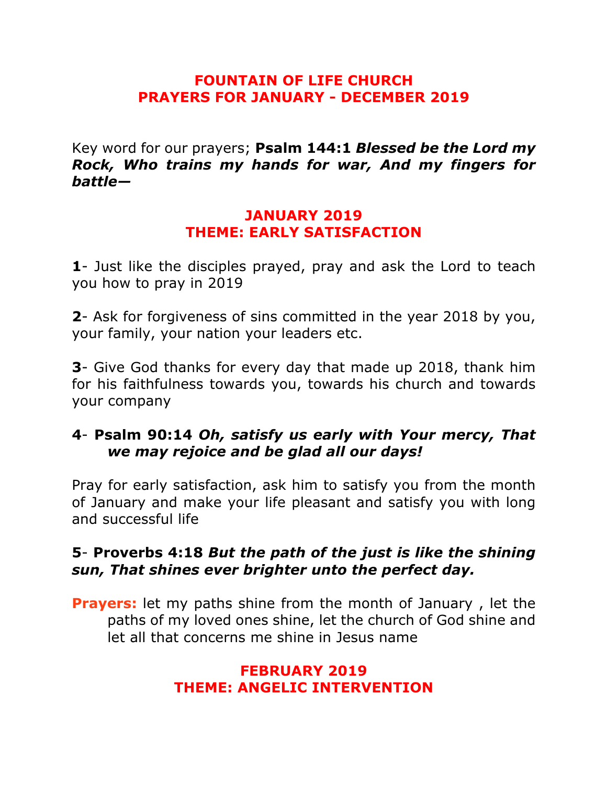### **FOUNTAIN OF LIFE CHURCH PRAYERS FOR JANUARY - DECEMBER 2019**

Key word for our prayers; **Psalm 144:1** *Blessed be the Lord my Rock, Who trains my hands for war, And my fingers for battle—*

#### **JANUARY 2019 THEME: EARLY SATISFACTION**

**1**- Just like the disciples prayed, pray and ask the Lord to teach you how to pray in 2019

**2**- Ask for forgiveness of sins committed in the year 2018 by you, your family, your nation your leaders etc.

**3**- Give God thanks for every day that made up 2018, thank him for his faithfulness towards you, towards his church and towards your company

## **4**- **Psalm 90:14** *Oh, satisfy us early with Your mercy, That we may rejoice and be glad all our days!*

Pray for early satisfaction, ask him to satisfy you from the month of January and make your life pleasant and satisfy you with long and successful life

## **5**- **Proverbs 4:18** *But the path of the just is like the shining sun, That shines ever brighter unto the perfect day.*

**Prayers:** let my paths shine from the month of January , let the paths of my loved ones shine, let the church of God shine and let all that concerns me shine in Jesus name

### **FEBRUARY 2019 THEME: ANGELIC INTERVENTION**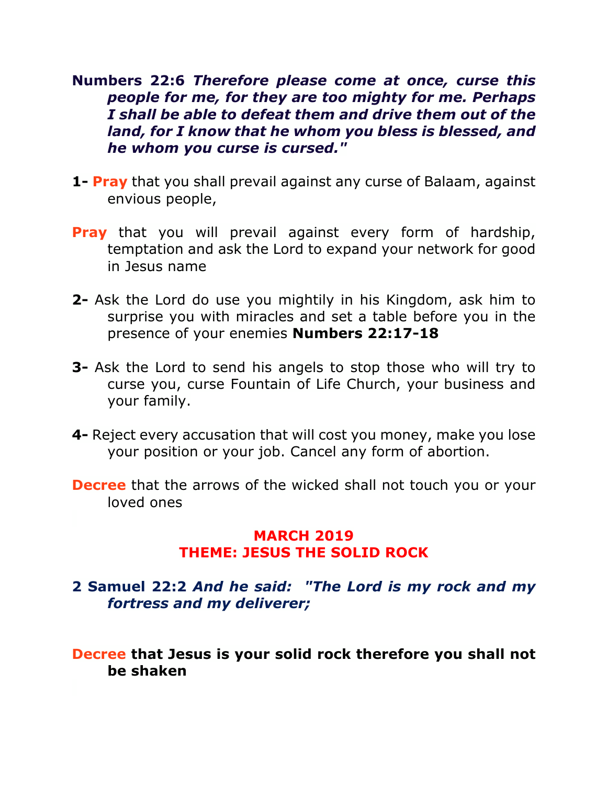### **Numbers 22:6** *Therefore please come at once, curse this people for me, for they are too mighty for me. Perhaps I shall be able to defeat them and drive them out of the land, for I know that he whom you bless is blessed, and he whom you curse is cursed."*

- **1- Pray** that you shall prevail against any curse of Balaam, against envious people,
- **Pray** that you will prevail against every form of hardship, temptation and ask the Lord to expand your network for good in Jesus name
- **2-** Ask the Lord do use you mightily in his Kingdom, ask him to surprise you with miracles and set a table before you in the presence of your enemies **Numbers 22:17-18**
- **3-** Ask the Lord to send his angels to stop those who will try to curse you, curse Fountain of Life Church, your business and your family.
- **4-** Reject every accusation that will cost you money, make you lose your position or your job. Cancel any form of abortion.
- **Decree** that the arrows of the wicked shall not touch you or your loved ones

#### **MARCH 2019 THEME: JESUS THE SOLID ROCK**

- **2 Samuel 22:2** *And he said: "The Lord is my rock and my fortress and my deliverer;*
- **Decree that Jesus is your solid rock therefore you shall not be shaken**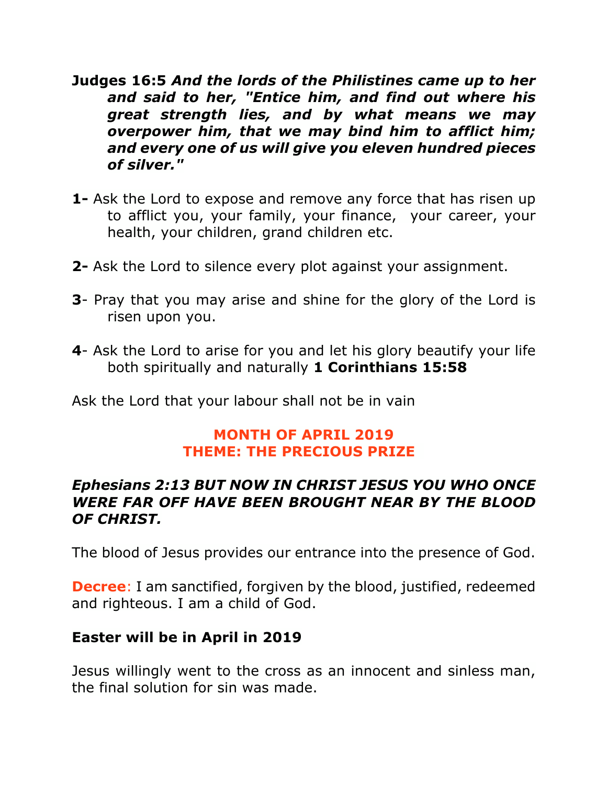- **Judges 16:5** *And the lords of the Philistines came up to her and said to her, "Entice him, and find out where his great strength lies, and by what means we may overpower him, that we may bind him to afflict him; and every one of us will give you eleven hundred pieces of silver."*
- **1-** Ask the Lord to expose and remove any force that has risen up to afflict you, your family, your finance, your career, your health, your children, grand children etc.
- **2-** Ask the Lord to silence every plot against your assignment.
- **3** Pray that you may arise and shine for the glory of the Lord is risen upon you.
- **4** Ask the Lord to arise for you and let his glory beautify your life both spiritually and naturally **1 Corinthians 15:58**

Ask the Lord that your labour shall not be in vain

## **MONTH OF APRIL 2019 THEME: THE PRECIOUS PRIZE**

## *Ephesians 2:13 BUT NOW IN CHRIST JESUS YOU WHO ONCE WERE FAR OFF HAVE BEEN BROUGHT NEAR BY THE BLOOD OF CHRIST.*

The blood of Jesus provides our entrance into the presence of God.

**Decree:** I am sanctified, forgiven by the blood, justified, redeemed and righteous. I am a child of God.

### **Easter will be in April in 2019**

Jesus willingly went to the cross as an innocent and sinless man, the final solution for sin was made.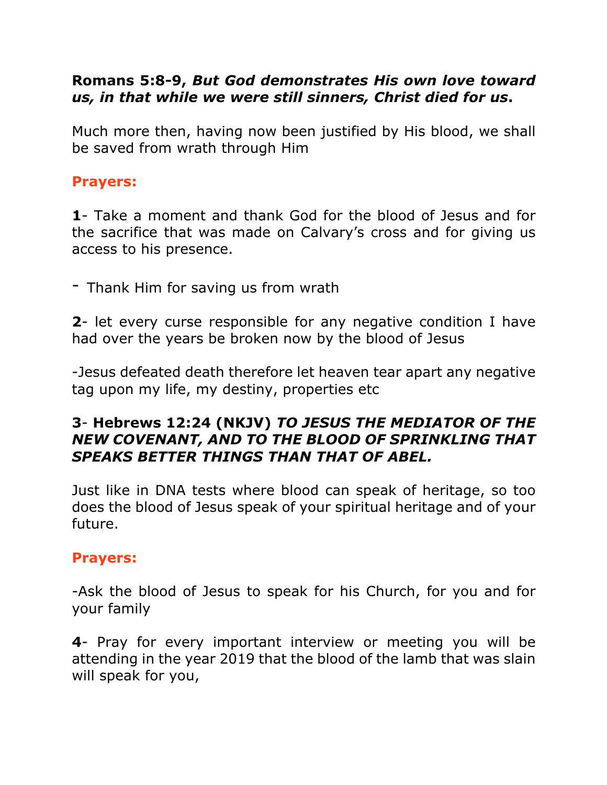## **Romans 5:8-9,** *But God demonstrates His own love toward us, in that while we were still sinners, Christ died for us***.**

Much more then, having now been justified by His blood, we shall be saved from wrath through Him

#### **Prayers:**

**1**- Take a moment and thank God for the blood of Jesus and for the sacrifice that was made on Calvary's cross and for giving us access to his presence.

- Thank Him for saving us from wrath

**2**- let every curse responsible for any negative condition I have had over the years be broken now by the blood of Jesus

-Jesus defeated death therefore let heaven tear apart any negative tag upon my life, my destiny, properties etc

## **3**- **Hebrews 12:24 (NKJV)** *TO JESUS THE MEDIATOR OF THE NEW COVENANT, AND TO THE BLOOD OF SPRINKLING THAT SPEAKS BETTER THINGS THAN THAT OF ABEL.*

Just like in DNA tests where blood can speak of heritage, so too does the blood of Jesus speak of your spiritual heritage and of your future.

# **Prayers:**

-Ask the blood of Jesus to speak for his Church, for you and for your family

**4**- Pray for every important interview or meeting you will be attending in the year 2019 that the blood of the lamb that was slain will speak for you,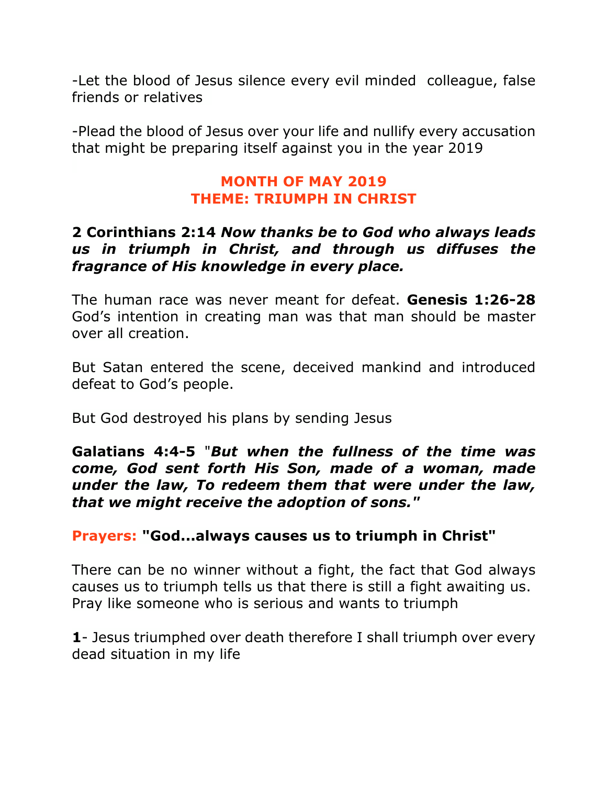-Let the blood of Jesus silence every evil minded colleague, false friends or relatives

-Plead the blood of Jesus over your life and nullify every accusation that might be preparing itself against you in the year 2019

#### **MONTH OF MAY 2019 THEME: TRIUMPH IN CHRIST**

### **2 Corinthians 2:14** *Now thanks be to God who always leads us in triumph in Christ, and through us diffuses the fragrance of His knowledge in every place.*

The human race was never meant for defeat. **Genesis 1:26-28** God's intention in creating man was that man should be master over all creation.

But Satan entered the scene, deceived mankind and introduced defeat to God's people.

But God destroyed his plans by sending Jesus

**Galatians 4:4-5** "*But when the fullness of the time was come, God sent forth His Son, made of a woman, made under the law, To redeem them that were under the law, that we might receive the adoption of sons."*

# **Prayers: "God...always causes us to triumph in Christ"**

There can be no winner without a fight, the fact that God always causes us to triumph tells us that there is still a fight awaiting us. Pray like someone who is serious and wants to triumph

**1**- Jesus triumphed over death therefore I shall triumph over every dead situation in my life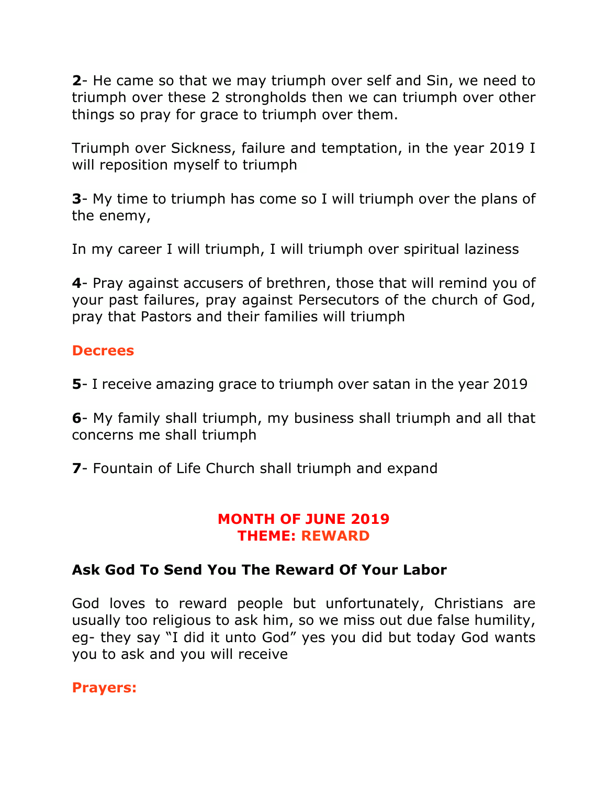**2**- He came so that we may triumph over self and Sin, we need to triumph over these 2 strongholds then we can triumph over other things so pray for grace to triumph over them.

Triumph over Sickness, failure and temptation, in the year 2019 I will reposition myself to triumph

**3**- My time to triumph has come so I will triumph over the plans of the enemy,

In my career I will triumph, I will triumph over spiritual laziness

**4**- Pray against accusers of brethren, those that will remind you of your past failures, pray against Persecutors of the church of God, pray that Pastors and their families will triumph

## **Decrees**

**5**- I receive amazing grace to triumph over satan in the year 2019

**6**- My family shall triumph, my business shall triumph and all that concerns me shall triumph

**7**- Fountain of Life Church shall triumph and expand

### **MONTH OF JUNE 2019 THEME: REWARD**

# **Ask God To Send You The Reward Of Your Labor**

God loves to reward people but unfortunately, Christians are usually too religious to ask him, so we miss out due false humility, eg- they say "I did it unto God" yes you did but today God wants you to ask and you will receive

### **Prayers:**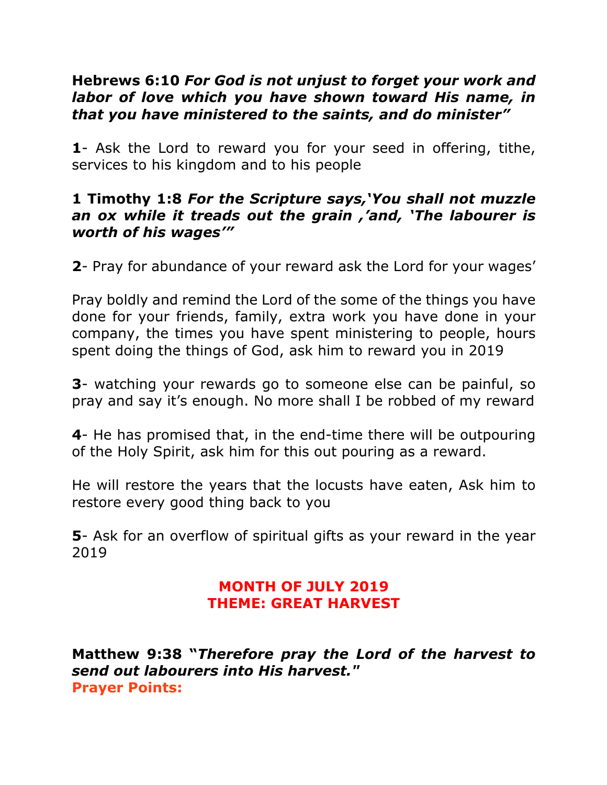### **Hebrews 6:10** *For God is not unjust to forget your work and labor of love which you have shown toward His name, in that you have ministered to the saints, and do minister"*

**1**- Ask the Lord to reward you for your seed in offering, tithe, services to his kingdom and to his people

#### **1 Timothy 1:8** *For the Scripture says,'You shall not muzzle an ox while it treads out the grain ,'and, 'The labourer is worth of his wages'"*

**2**- Pray for abundance of your reward ask the Lord for your wages'

Pray boldly and remind the Lord of the some of the things you have done for your friends, family, extra work you have done in your company, the times you have spent ministering to people, hours spent doing the things of God, ask him to reward you in 2019

**3**- watching your rewards go to someone else can be painful, so pray and say it's enough. No more shall I be robbed of my reward

**4**- He has promised that, in the end-time there will be outpouring of the Holy Spirit, ask him for this out pouring as a reward.

He will restore the years that the locusts have eaten, Ask him to restore every good thing back to you

**5**- Ask for an overflow of spiritual gifts as your reward in the year 2019

## **MONTH OF JULY 2019 THEME: GREAT HARVEST**

**Matthew 9:38 "***Therefore pray the Lord of the harvest to send out labourers into His harvest."* **Prayer Points:**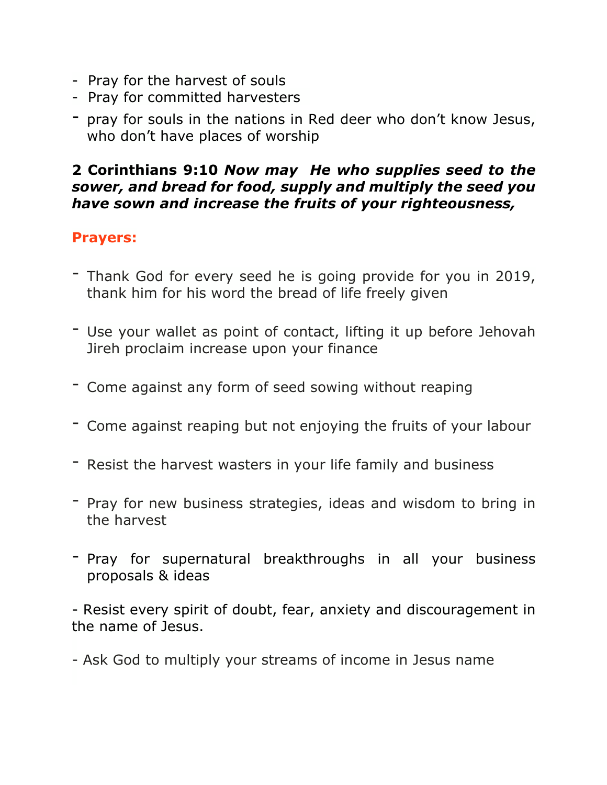- Pray for the harvest of souls
- Pray for committed harvesters
- pray for souls in the nations in Red deer who don't know Jesus, who don't have places of worship

### **2 Corinthians 9:10** *Now may He who supplies seed to the sower, and bread for food, supply and multiply the seed you have sown and increase the fruits of your righteousness,*

# **Prayers:**

- Thank God for every seed he is going provide for you in 2019, thank him for his word the bread of life freely given
- Use your wallet as point of contact, lifting it up before Jehovah Jireh proclaim increase upon your finance
- Come against any form of seed sowing without reaping
- Come against reaping but not enjoying the fruits of your labour
- Resist the harvest wasters in your life family and business
- Pray for new business strategies, ideas and wisdom to bring in the harvest
- Pray for supernatural breakthroughs in all your business proposals & ideas

- Resist every spirit of doubt, fear, anxiety and discouragement in the name of Jesus.

- Ask God to multiply your streams of income in Jesus name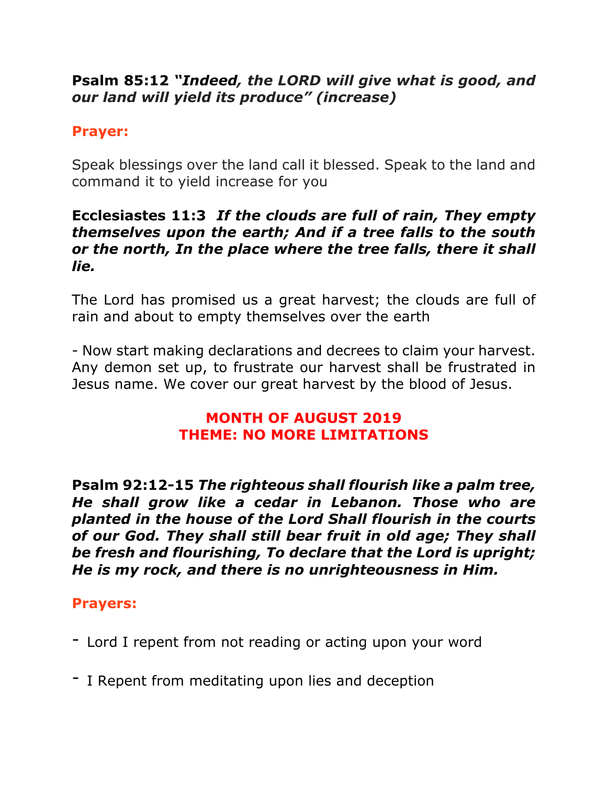# **Psalm 85:12** *"Indeed, the LORD will give what is good, and our land will yield its produce" (increase)*

# **Prayer:**

Speak blessings over the land call it blessed. Speak to the land and command it to yield increase for you

### **Ecclesiastes 11:3** *If the clouds are full of rain, They empty themselves upon the earth; And if a tree falls to the south or the north, In the place where the tree falls, there it shall lie.*

The Lord has promised us a great harvest; the clouds are full of rain and about to empty themselves over the earth

- Now start making declarations and decrees to claim your harvest. Any demon set up, to frustrate our harvest shall be frustrated in Jesus name. We cover our great harvest by the blood of Jesus.

# **MONTH OF AUGUST 2019 THEME: NO MORE LIMITATIONS**

**Psalm 92:12-15** *The righteous shall flourish like a palm tree, He shall grow like a cedar in Lebanon. Those who are planted in the house of the Lord Shall flourish in the courts of our God. They shall still bear fruit in old age; They shall be fresh and flourishing, To declare that the Lord is upright; He is my rock, and there is no unrighteousness in Him.*

# **Prayers:**

- Lord I repent from not reading or acting upon your word
- I Repent from meditating upon lies and deception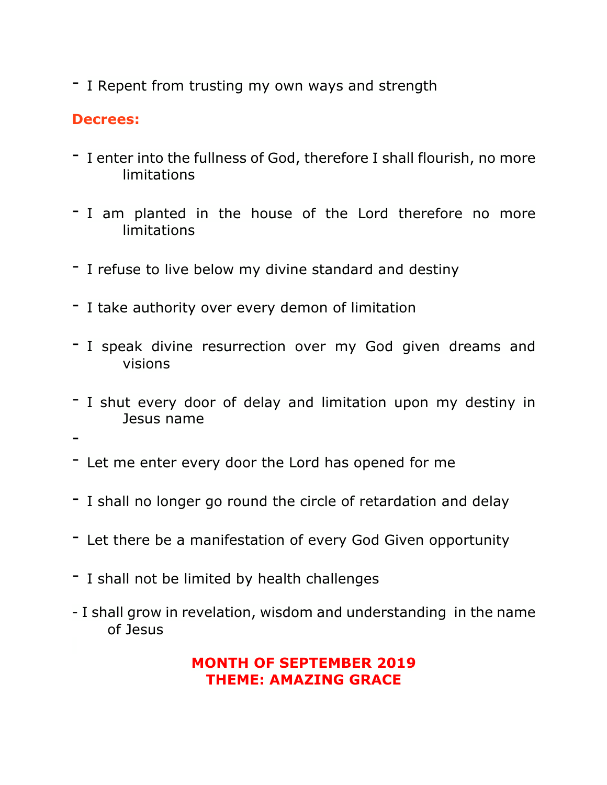- I Repent from trusting my own ways and strength

# **Decrees:**

- I enter into the fullness of God, therefore I shall flourish, no more limitations
- I am planted in the house of the Lord therefore no more limitations
- I refuse to live below my divine standard and destiny
- I take authority over every demon of limitation
- I speak divine resurrection over my God given dreams and visions
- I shut every door of delay and limitation upon my destiny in Jesus name
- -
- Let me enter every door the Lord has opened for me
- I shall no longer go round the circle of retardation and delay
- Let there be a manifestation of every God Given opportunity
- I shall not be limited by health challenges
- I shall grow in revelation, wisdom and understanding in the name of Jesus

### **MONTH OF SEPTEMBER 2019 THEME: AMAZING GRACE**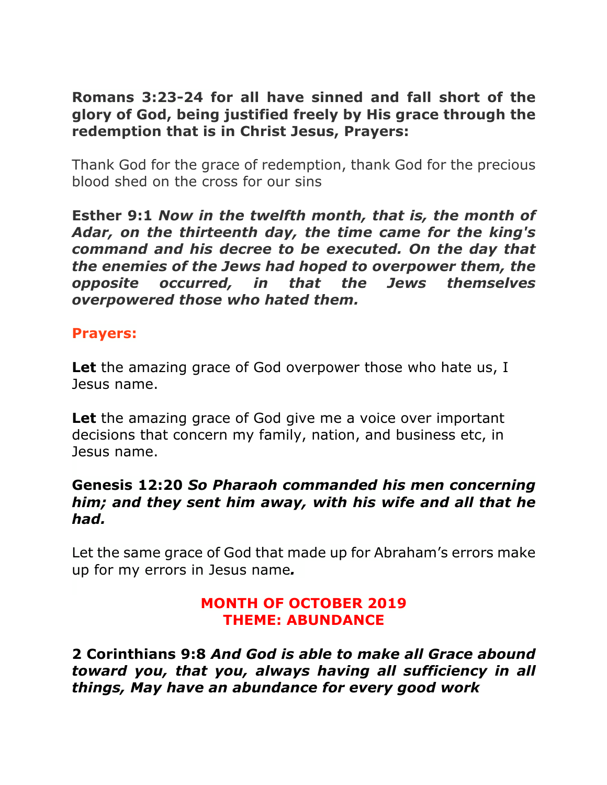**Romans 3:23-24 for all have sinned and fall short of the glory of God, being justified freely by His grace through the redemption that is in Christ Jesus, Prayers:**

Thank God for the grace of redemption, thank God for the precious blood shed on the cross for our sins

**Esther 9:1** *Now in the twelfth month, that is, the month of Adar, on the thirteenth day, the time came for the king's command and his decree to be executed. On the day that the enemies of the Jews had hoped to overpower them, the opposite occurred, in that the Jews themselves overpowered those who hated them.*

### **Prayers:**

**Let** the amazing grace of God overpower those who hate us, I Jesus name.

**Let** the amazing grace of God give me a voice over important decisions that concern my family, nation, and business etc, in Jesus name.

#### **Genesis 12:20** *So Pharaoh commanded his men concerning him; and they sent him away, with his wife and all that he had.*

Let the same grace of God that made up for Abraham's errors make up for my errors in Jesus name*.*

### **MONTH OF OCTOBER 2019 THEME: ABUNDANCE**

**2 Corinthians 9:8** *And God is able to make all Grace abound toward you, that you, always having all sufficiency in all things, May have an abundance for every good work*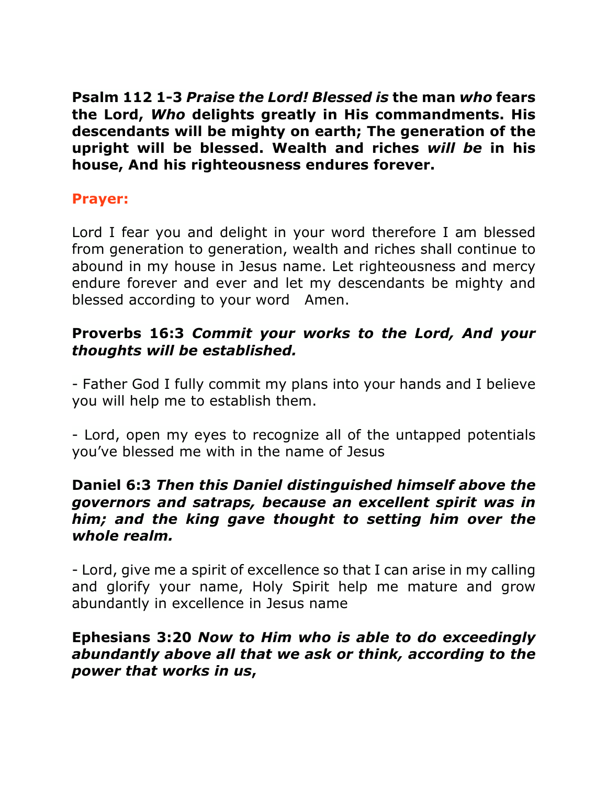**Psalm 112 1-3** *Praise the Lord! Blessed is* **the man** *who* **fears the Lord,** *Who* **delights greatly in His commandments. His descendants will be mighty on earth; The generation of the upright will be blessed. Wealth and riches** *will be* **in his house, And his righteousness endures forever.**

## **Prayer:**

Lord I fear you and delight in your word therefore I am blessed from generation to generation, wealth and riches shall continue to abound in my house in Jesus name. Let righteousness and mercy endure forever and ever and let my descendants be mighty and blessed according to your word Amen.

## **Proverbs 16:3** *Commit your works to the Lord, And your thoughts will be established.*

- Father God I fully commit my plans into your hands and I believe you will help me to establish them.

- Lord, open my eyes to recognize all of the untapped potentials you've blessed me with in the name of Jesus

#### **Daniel 6:3** *Then this Daniel distinguished himself above the governors and satraps, because an excellent spirit was in him; and the king gave thought to setting him over the whole realm.*

- Lord, give me a spirit of excellence so that I can arise in my calling and glorify your name, Holy Spirit help me mature and grow abundantly in excellence in Jesus name

### **Ephesians 3:20** *Now to Him who is able to do exceedingly abundantly above all that we ask or think, according to the power that works in us***,**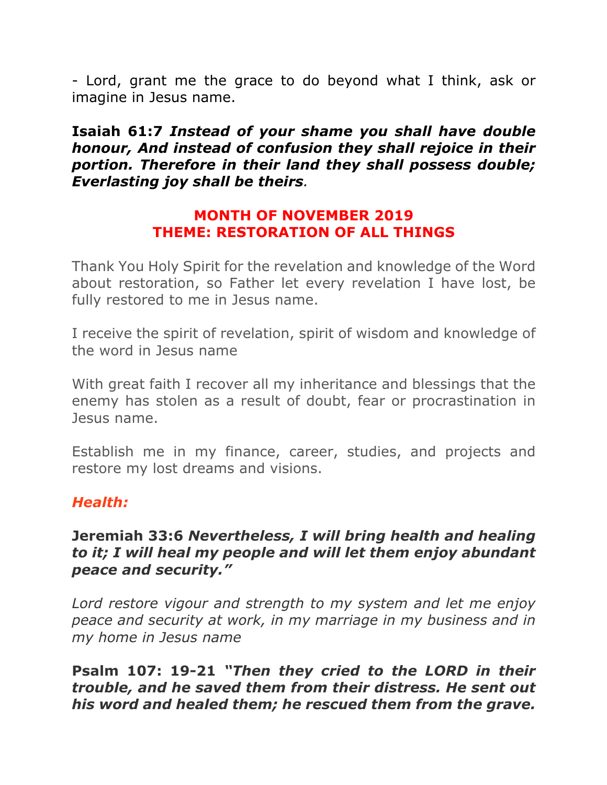- Lord, grant me the grace to do beyond what I think, ask or imagine in Jesus name.

**Isaiah 61:7** *Instead of your shame you shall have double honour, And instead of confusion they shall rejoice in their portion. Therefore in their land they shall possess double; Everlasting joy shall be theirs.*

#### **MONTH OF NOVEMBER 2019 THEME: RESTORATION OF ALL THINGS**

Thank You Holy Spirit for the revelation and knowledge of the Word about restoration, so Father let every revelation I have lost, be fully restored to me in Jesus name.

I receive the spirit of revelation, spirit of wisdom and knowledge of the word in Jesus name

With great faith I recover all my inheritance and blessings that the enemy has stolen as a result of doubt, fear or procrastination in Jesus name.

Establish me in my finance, career, studies, and projects and restore my lost dreams and visions.

# *Health:*

#### **Jeremiah 33:6** *Nevertheless, I will bring health and healing to it; I will heal my people and will let them enjoy abundant peace and security."*

*Lord restore vigour and strength to my system and let me enjoy peace and security at work, in my marriage in my business and in my home in Jesus name*

**Psalm 107: 19-21** *"Then they cried to the LORD in their trouble, and he saved them from their distress. He sent out his word and healed them; he rescued them from the grave.*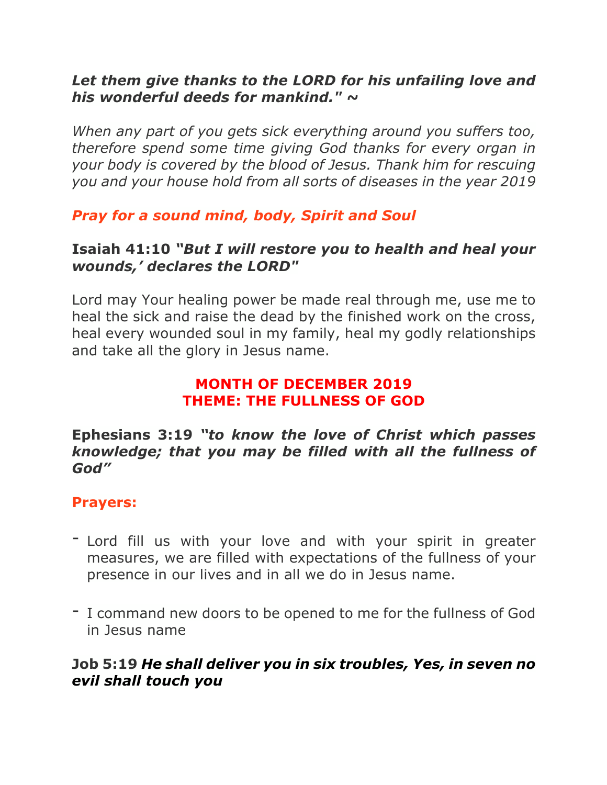## *Let them give thanks to the LORD for his unfailing love and his wonderful deeds for mankind." ~*

*When any part of you gets sick everything around you suffers too, therefore spend some time giving God thanks for every organ in your body is covered by the blood of Jesus. Thank him for rescuing you and your house hold from all sorts of diseases in the year 2019*

*Pray for a sound mind, body, Spirit and Soul*

### **Isaiah 41:10** *"But I will restore you to health and heal your wounds,' declares the LORD"*

Lord may Your healing power be made real through me, use me to heal the sick and raise the dead by the finished work on the cross, heal every wounded soul in my family, heal my godly relationships and take all the glory in Jesus name.

#### **MONTH OF DECEMBER 2019 THEME: THE FULLNESS OF GOD**

#### **Ephesians 3:19** *"to know the love of Christ which passes knowledge; that you may be filled with all the fullness of God"*

# **Prayers:**

- Lord fill us with your love and with your spirit in greater measures, we are filled with expectations of the fullness of your presence in our lives and in all we do in Jesus name.
- I command new doors to be opened to me for the fullness of God in Jesus name

# **Job 5:19** *He shall deliver you in six troubles, Yes, in seven no evil shall touch you*